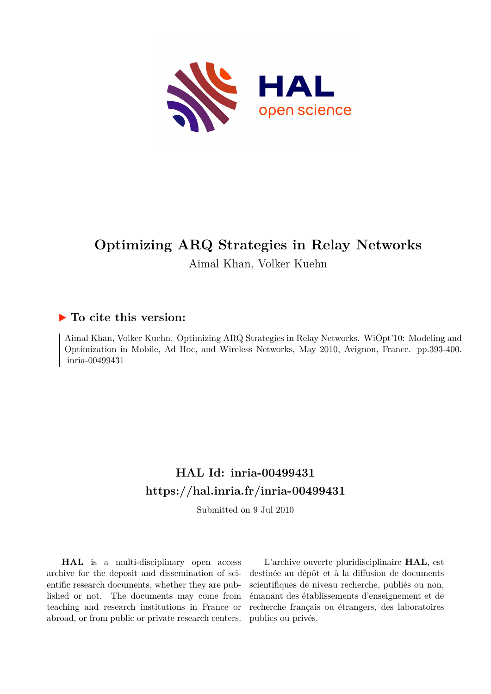

# **Optimizing ARQ Strategies in Relay Networks**

Aimal Khan, Volker Kuehn

### **To cite this version:**

Aimal Khan, Volker Kuehn. Optimizing ARQ Strategies in Relay Networks. WiOpt'10: Modeling and Optimization in Mobile, Ad Hoc, and Wireless Networks, May 2010, Avignon, France. pp.393-400. inria-00499431

## **HAL Id: inria-00499431 <https://hal.inria.fr/inria-00499431>**

Submitted on 9 Jul 2010

**HAL** is a multi-disciplinary open access archive for the deposit and dissemination of scientific research documents, whether they are published or not. The documents may come from teaching and research institutions in France or abroad, or from public or private research centers.

L'archive ouverte pluridisciplinaire **HAL**, est destinée au dépôt et à la diffusion de documents scientifiques de niveau recherche, publiés ou non, émanant des établissements d'enseignement et de recherche français ou étrangers, des laboratoires publics ou privés.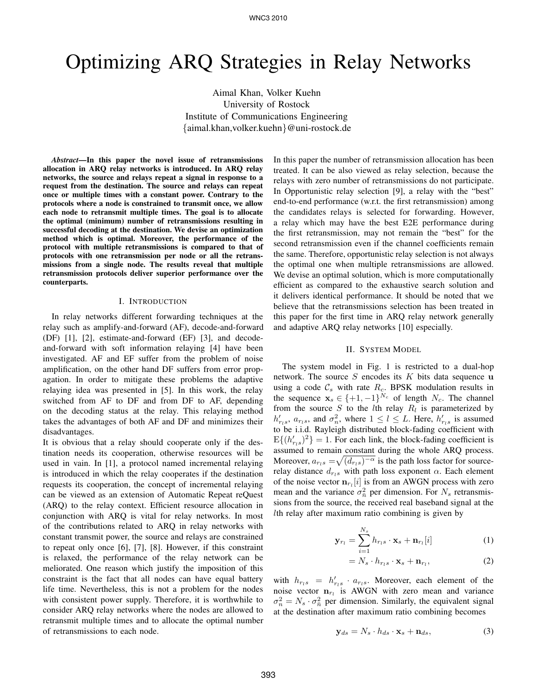# Optimizing ARQ Strategies in Relay Networks

Aimal Khan, Volker Kuehn University of Rostock Institute of Communications Engineering {aimal.khan,volker.kuehn}@uni-rostock.de

*Abstract*—In this paper the novel issue of retransmissions allocation in ARQ relay networks is introduced. In ARQ relay networks, the source and relays repeat a signal in response to a request from the destination. The source and relays can repeat once or multiple times with a constant power. Contrary to the protocols where a node is constrained to transmit once, we allow each node to retransmit multiple times. The goal is to allocate the optimal (minimum) number of retransmissions resulting in successful decoding at the destination. We devise an optimization method which is optimal. Moreover, the performance of the protocol with multiple retransmissions is compared to that of protocols with one retransmission per node or all the retransmissions from a single node. The results reveal that multiple retransmission protocols deliver superior performance over the counterparts.

#### I. INTRODUCTION

In relay networks different forwarding techniques at the relay such as amplify-and-forward (AF), decode-and-forward (DF) [1], [2], estimate-and-forward (EF) [3], and decodeand-forward with soft information relaying [4] have been investigated. AF and EF suffer from the problem of noise amplification, on the other hand DF suffers from error propagation. In order to mitigate these problems the adaptive relaying idea was presented in [5]. In this work, the relay switched from AF to DF and from DF to AF, depending on the decoding status at the relay. This relaying method takes the advantages of both AF and DF and minimizes their disadvantages.

It is obvious that a relay should cooperate only if the destination needs its cooperation, otherwise resources will be used in vain. In [1], a protocol named incremental relaying is introduced in which the relay cooperates if the destination requests its cooperation, the concept of incremental relaying can be viewed as an extension of Automatic Repeat reQuest (ARQ) to the relay context. Efficient resource allocation in conjunction with ARQ is vital for relay networks. In most of the contributions related to ARQ in relay networks with constant transmit power, the source and relays are constrained to repeat only once [6], [7], [8]. However, if this constraint is relaxed, the performance of the relay network can be meliorated. One reason which justify the imposition of this constraint is the fact that all nodes can have equal battery life time. Nevertheless, this is not a problem for the nodes with consistent power supply. Therefore, it is worthwhile to consider ARQ relay networks where the nodes are allowed to retransmit multiple times and to allocate the optimal number of retransmissions to each node.

In this paper the number of retransmission allocation has been treated. It can be also viewed as relay selection, because the relays with zero number of retransmissions do not participate. In Opportunistic relay selection [9], a relay with the "best" end-to-end performance (w.r.t. the first retransmission) among the candidates relays is selected for forwarding. However, a relay which may have the best E2E performance during the first retransmission, may not remain the "best" for the second retransmission even if the channel coefficients remain the same. Therefore, opportunistic relay selection is not always the optimal one when multiple retransmissions are allowed. We devise an optimal solution, which is more computationally efficient as compared to the exhaustive search solution and it delivers identical performance. It should be noted that we believe that the retransmissions selection has been treated in this paper for the first time in ARQ relay network generally and adaptive ARQ relay networks [10] especially.

#### II. SYSTEM MODEL

The system model in Fig. 1 is restricted to a dual-hop network. The source  $S$  encodes its  $K$  bits data sequence u using a code  $\mathcal{C}_s$  with rate  $R_c$ . BPSK modulation results in the sequence  $\mathbf{x}_s \in \{+1, -1\}^{N_c}$  of length  $N_c$ . The channel from the source S to the lth relay  $R_l$  is parameterized by  $h'_{r_l s}$ ,  $a_{r_l s}$ , and  $\sigma_n^2$ , where  $1 \leq l \leq L$ . Here,  $h'_{r_l s}$  is assumed to be i.i.d. Rayleigh distributed block-fading coefficient with  $E\{(h'_{r(s)})^2\} = 1$ . For each link, the block-fading coefficient is assumed to remain constant during the whole ARQ process. Moreover,  $a_{r_l s} = \sqrt{(d_{r_l s})^{-\alpha}}$  is the path loss factor for sourcerelay distance  $d_{r,s}$  with path loss exponent  $\alpha$ . Each element of the noise vector  $\mathbf{n}_{r_l}[i]$  is from an AWGN process with zero mean and the variance  $\sigma_{\bar{n}}^2$  per dimension. For  $N_s$  retransmissions from the source, the received real baseband signal at the lth relay after maximum ratio combining is given by

$$
\mathbf{y}_{r_l} = \sum_{i=1}^{N_s} h_{r_l s} \cdot \mathbf{x}_s + \mathbf{n}_{r_l}[i] \tag{1}
$$

$$
= N_s \cdot h_{r_l s} \cdot \mathbf{x}_s + \mathbf{n}_{r_l}, \tag{2}
$$

with  $h_{r_l s} = h'_{r_l s} \cdot a_{r_l s}$ . Moreover, each element of the noise vector  $n_{r_l}$  is AWGN with zero mean and variance  $\sigma_n^2 = N_s \cdot \sigma_n^2$  per dimension. Similarly, the equivalent signal at the destination after maximum ratio combining becomes

$$
\mathbf{y}_{ds} = N_s \cdot h_{ds} \cdot \mathbf{x}_s + \mathbf{n}_{ds},\tag{3}
$$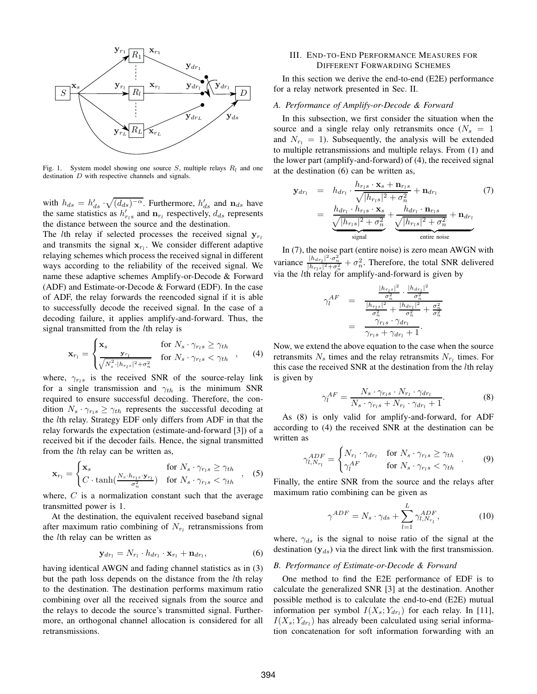

Fig. 1. System model showing one source  $S$ , multiple relays  $R_l$  and one destination D with respective channels and signals.

with  $h_{ds} = h'_{ds} \cdot \sqrt{(d_{ds})^{-\alpha}}$ . Furthermore,  $h'_{ds}$  and  $n_{ds}$  have the same statistics as  $h'_{r,s}$  and  $n_{r}$  respectively,  $d_{ds}$  represents the distance between the source and the destination.

The *l*th relay if selected processes the received signal  $y_{r_l}$ and transmits the signal  $x_{r_l}$ . We consider different adaptive relaying schemes which process the received signal in different ways according to the reliability of the received signal. We name these adaptive schemes Amplify-or-Decode & Forward (ADF) and Estimate-or-Decode & Forward (EDF). In the case of ADF, the relay forwards the reencoded signal if it is able to successfully decode the received signal. In the case of a decoding failure, it applies amplify-and-forward. Thus, the signal transmitted from the *l*th relay is

$$
\mathbf{x}_{r_l} = \begin{cases} \mathbf{x}_s & \text{for } N_s \cdot \gamma_{r_l s} \ge \gamma_{th} \\ \frac{\mathbf{y}_{r_l}}{\sqrt{N_s^2 \cdot |\mathbf{h}_{r_l s}|^2 + \sigma_n^2}} & \text{for } N_s \cdot \gamma_{r_l s} < \gamma_{th} \end{cases}, \quad (4)
$$

where,  $\gamma_{rls}$  is the received SNR of the source-relay link for a single transmission and  $\gamma_{th}$  is the minimum SNR required to ensure successful decoding. Therefore, the condition  $N_s \cdot \gamma_{rls} \geq \gamma_{th}$  represents the successful decoding at the lth relay. Strategy EDF only differs from ADF in that the relay forwards the expectation (estimate-and-forward [3]) of a received bit if the decoder fails. Hence, the signal transmitted from the *l*th relay can be written as,

$$
\mathbf{x}_{r_l} = \begin{cases} \mathbf{x}_s & \text{for } N_s \cdot \gamma_{r_l s} \ge \gamma_{th} \\ C \cdot \tanh(\frac{N_s \cdot h_{r_l s} \cdot \mathbf{y}_{r_l}}{\sigma_n^2}) & \text{for } N_s \cdot \gamma_{r_l s} < \gamma_{th} \end{cases}, \quad (5)
$$

where,  $C$  is a normalization constant such that the average transmitted power is 1.

At the destination, the equivalent received baseband signal after maximum ratio combining of  $N_{r_l}$  retransmissions from the lth relay can be written as

$$
\mathbf{y}_{dr_l} = N_{r_l} \cdot h_{dr_l} \cdot \mathbf{x}_{r_l} + \mathbf{n}_{dr_l},\tag{6}
$$

having identical AWGN and fading channel statistics as in (3) but the path loss depends on the distance from the lth relay to the destination. The destination performs maximum ratio combining over all the received signals from the source and the relays to decode the source's transmitted signal. Furthermore, an orthogonal channel allocation is considered for all retransmissions.

#### III. END-TO-END PERFORMANCE MEASURES FOR DIFFERENT FORWARDING SCHEMES

In this section we derive the end-to-end (E2E) performance for a relay network presented in Sec. II.

#### *A. Performance of Amplify-or-Decode & Forward*

In this subsection, we first consider the situation when the source and a single relay only retransmits once  $(N_s = 1)$ and  $N_{r_1} = 1$ ). Subsequently, the analysis will be extended to multiple retransmissions and multiple relays. From (1) and the lower part (amplify-and-forward) of (4), the received signal at the destination (6) can be written as,

$$
\mathbf{y}_{dr_l} = h_{dr_l} \cdot \frac{h_{r_l s} \cdot \mathbf{x}_s + \mathbf{n}_{r_l s}}{\sqrt{|h_{r_l s}|^2 + \sigma_n^2}} + \mathbf{n}_{dr_l}
$$
(7)  

$$
= \frac{h_{dr_l} \cdot h_{r_l s} \cdot \mathbf{x}_s}{\sqrt{|h_{r_l s}|^2 + \sigma_n^2}} + \frac{h_{dr_l} \cdot \mathbf{n}_{r_l s}}{\sqrt{|h_{r_l s}|^2 + \sigma_n^2}} + \mathbf{n}_{dr_l}
$$
  
square noise

In (7), the noise part (entire noise) is zero mean AWGN with variance  $\frac{|h_{dr_1}|^2 \cdot \sigma_n^2}{|h_{r_1s}|^2 + \sigma_n^2} + \sigma_n^2$ . Therefore, the total SNR delivered via the *l*th relay for amplify-and-forward is given by

$$
\gamma_l^{AF} = \frac{\frac{|h_{r_l s}|^2}{\sigma_n^2} \cdot \frac{|h_{dr_l}|^2}{\sigma_n^2}}{\frac{|h_{r_l s}|^2}{\sigma_n^2} + \frac{|h_{dr_l}|^2}{\sigma_n^2} + \frac{\sigma_n^2}{\sigma_n^2}}
$$

$$
= \frac{\gamma_{r_l s} \cdot \gamma_{dr_l}}{\gamma_{r_l s} + \gamma_{dr_l} + 1}.
$$

Now, we extend the above equation to the case when the source retransmits  $N_s$  times and the relay retransmits  $N_{r_l}$  times. For this case the received SNR at the destination from the lth relay is given by

$$
\gamma_l^{AF} = \frac{N_s \cdot \gamma_{rls} \cdot N_{r_l} \cdot \gamma_{dr_l}}{N_s \cdot \gamma_{rls} + N_{r_l} \cdot \gamma_{dr_l} + 1}.
$$
 (8)

As (8) is only valid for amplify-and-forward, for ADF according to (4) the received SNR at the destination can be written as

$$
\gamma_{l,N_{r_l}}^{ADE} = \begin{cases} N_{r_l} \cdot \gamma_{dr_l} & \text{for } N_s \cdot \gamma_{r_l s} \ge \gamma_{th} \\ \gamma_l^{AF} & \text{for } N_s \cdot \gamma_{r_l s} < \gamma_{th} \end{cases} . \tag{9}
$$

Finally, the entire SNR from the source and the relays after maximum ratio combining can be given as

$$
\gamma^{ADE} = N_s \cdot \gamma_{ds} + \sum_{l=1}^{L} \gamma_{l, N_{r_l}}^{ADE},\tag{10}
$$

where,  $\gamma_{ds}$  is the signal to noise ratio of the signal at the destination  $(y_{ds})$  via the direct link with the first transmission.

#### *B. Performance of Estimate-or-Decode & Forward*

One method to find the E2E performance of EDF is to calculate the generalized SNR [3] at the destination. Another possible method is to calculate the end-to-end (E2E) mutual information per symbol  $I(X_s; Y_{dr_l})$  for each relay. In [11],  $I(X_s; Y_{dr_l})$  has already been calculated using serial information concatenation for soft information forwarding with an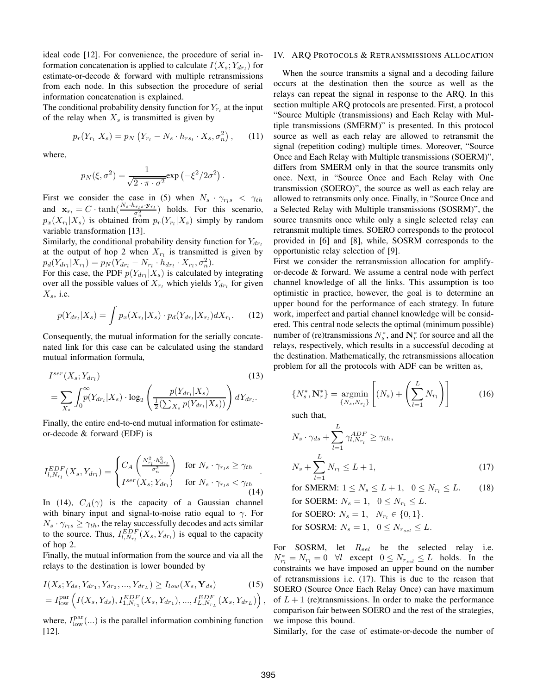ideal code [12]. For convenience, the procedure of serial information concatenation is applied to calculate  $I(X_s; Y_{dr_l})$  for estimate-or-decode & forward with multiple retransmissions from each node. In this subsection the procedure of serial information concatenation is explained.

The conditional probability density function for  $Y_{r_l}$  at the input of the relay when  $X_s$  is transmitted is given by

$$
p_r(Y_{r_l}|X_s) = p_N(Y_{r_l} - N_s \cdot h_{rs_l} \cdot X_s, \sigma_n^2), \quad (11)
$$

where,

$$
p_N(\xi, \sigma^2) = \frac{1}{\sqrt{2 \cdot \pi \cdot \sigma^2}} \exp\left(-\xi^2/2\sigma^2\right).
$$

First we consider the case in (5) when  $N_s \cdot \gamma_{rls} < \gamma_{th}$ and  $\mathbf{x}_{r_l} = C \cdot \tanh(\frac{N_s \cdot h_{r_l s} \cdot \mathbf{y}_{r_l}}{\sigma_n^2})$  holds. For this scenario,  $p_x(X_{r_l}|X_s)$  is obtained from  $p_r(Y_{r_l}|X_s)$  simply by random variable transformation [13].

Similarly, the conditional probability density function for  $Y_{dr}$ at the output of hop 2 when  $X_{r_l}$  is transmitted is given by  $p_d(Y_{dr_l}|X_{r_l}) = p_N(Y_{dr_l} - N_{r_l} \cdot h_{dr_l} \cdot X_{r_l}, \sigma_n^2).$ 

For this case, the PDF  $p(Y_{dr_l}|X_s)$  is calculated by integrating over all the possible values of  $X_{r_l}$  which yields  $Y_{dr_l}$  for given  $X_s$ , i.e.

$$
p(Y_{dr_l}|X_s) = \int p_x(X_{r_l}|X_s) \cdot p_d(Y_{dr_l}|X_{r_l}) dX_{r_l}.
$$
 (12)

Consequently, the mutual information for the serially concatenated link for this case can be calculated using the standard mutual information formula,

$$
I^{ser}(X_s; Y_{dr_l})
$$
\n
$$
= \sum_{X_s} \int_0^\infty p(Y_{dr_l}|X_s) \cdot \log_2 \left( \frac{p(Y_{dr_l}|X_s)}{\frac{1}{2}(\sum_{X_s} p(Y_{dr_l}|X_s))} \right) dY_{dr_l}.
$$
\n(13)

Finally, the entire end-to-end mutual information for estimateor-decode & forward (EDF) is

$$
I_{l,N_{r_l}}^{EDF}(X_s,Y_{dr_l}) = \begin{cases} C_A \left( \frac{N_{r_l}^2 \cdot h_{dr_l}^2}{\sigma_n^2} \right) & \text{for } N_s \cdot \gamma_{rls} \ge \gamma_{th} \\ I^{ser}(X_s;Y_{dr_l}) & \text{for } N_s \cdot \gamma_{rls} < \gamma_{th} \end{cases} . \tag{14}
$$

In (14),  $C_A(\gamma)$  is the capacity of a Gaussian channel with binary input and signal-to-noise ratio equal to  $\gamma$ . For  $N_s \cdot \gamma_{r,s} \geq \gamma_{th}$ , the relay successfully decodes and acts similar to the source. Thus,  $I_{l,N_{r_l}}^{EDF}(X_s,Y_{dr_l})$  is equal to the capacity of hop 2.

Finally, the mutual information from the source and via all the relays to the destination is lower bounded by

$$
I(X_s; Y_{ds}, Y_{dr_1}, Y_{dr_2}, ..., Y_{dr_L}) \ge I_{low}(X_s, \mathbf{Y}_{ds})
$$
 (15)

$$
= I_{\text{low}}^{\text{par}} \left( I(X_s, Y_{ds}), I_{1,N_{r_1}}^{EDF}(X_s, Y_{dr_1}), ..., I_{L,N_{r_L}}^{EDF}(X_s, Y_{dr_L}) \right),
$$

where,  $I_{\text{low}}^{\text{par}}(...)$  is the parallel information combining function [12].

#### IV. ARQ PROTOCOLS & RETRANSMISSIONS ALLOCATION

When the source transmits a signal and a decoding failure occurs at the destination then the source as well as the relays can repeat the signal in response to the ARQ. In this section multiple ARQ protocols are presented. First, a protocol "Source Multiple (transmissions) and Each Relay with Multiple transmissions (SMERM)" is presented. In this protocol source as well as each relay are allowed to retransmit the signal (repetition coding) multiple times. Moreover, "Source Once and Each Relay with Multiple transmissions (SOERM)", differs from SMERM only in that the source transmits only once. Next, in "Source Once and Each Relay with One transmission (SOERO)", the source as well as each relay are allowed to retransmits only once. Finally, in "Source Once and a Selected Relay with Multiple transmissions (SOSRM)", the source transmits once while only a single selected relay can retransmit multiple times. SOERO corresponds to the protocol provided in [6] and [8], while, SOSRM corresponds to the opportunistic relay selection of [9].

First we consider the retransmission allocation for amplifyor-decode & forward. We assume a central node with perfect channel knowledge of all the links. This assumption is too optimistic in practice, however, the goal is to determine an upper bound for the performance of each strategy. In future work, imperfect and partial channel knowledge will be considered. This central node selects the optimal (minimum possible) number of (re)transmissions  $N_s^*$ , and  $N_r^*$  for source and all the relays, respectively, which results in a successful decoding at the destination. Mathematically, the retransmissions allocation problem for all the protocols with ADF can be written as,

$$
\{N_s^*, \mathbf{N}_r^*\} = \underset{\{N_s, N_{r_l}\}}{\text{argmin}} \left[ (N_s) + \left( \sum_{l=1}^L N_{r_l} \right) \right] \tag{16}
$$

such that,

$$
N_s \cdot \gamma_{ds} + \sum_{l=1}^{L} \gamma_{l,N_{r_l}}^{ADF} \ge \gamma_{th},
$$
  

$$
N_s + \sum_{l=1}^{L} N_{r_l} \le L + 1,
$$
 (17)

for SMERM:  $1 \le N_s \le L+1$ ,  $0 \le N_{r_l} \le L$ . (18)

for SOERM:  $N_s = 1$ ,  $0 \leq N_{r_l} \leq L$ . for SOERO:  $N_s = 1$ ,  $N_{r_l} \in \{0, 1\}.$ for SOSRM:  $N_s = 1$ ,  $0 \leq N_{r_{sel}} \leq L$ .

For SOSRM, let  $R_{sel}$  be the selected relay i.e.  $N_{r_l}^* = N_{r_l} = 0 \quad \forall l \quad \text{except} \quad 0 \le N_{r_{sel}} \le L \quad \text{holds.} \quad \text{In} \quad \text{the}$ constraints we have imposed an upper bound on the number of retransmissions i.e. (17). This is due to the reason that SOERO (Source Once Each Relay Once) can have maximum of  $L+1$  (re)transmissions. In order to make the performance comparison fair between SOERO and the rest of the strategies, we impose this bound.

Similarly, for the case of estimate-or-decode the number of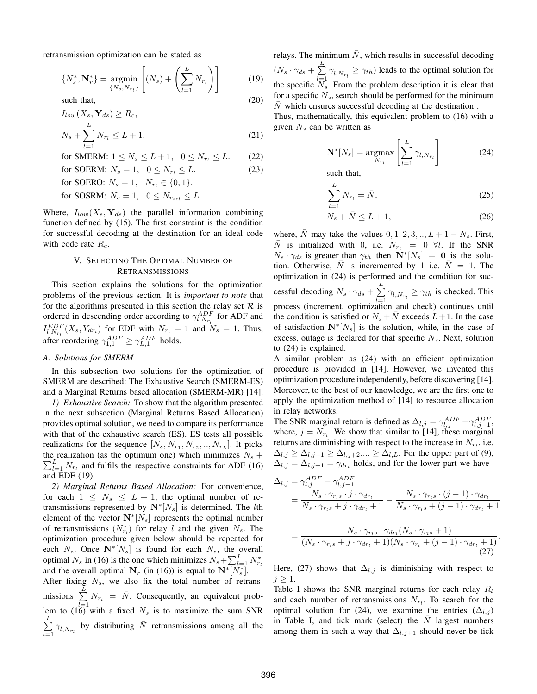retransmission optimization can be stated as

$$
\{N_s^*, \mathbf{N}_r^*\} = \underset{\{N_s, N_{r_l}\}}{\text{argmin}} \left[ (N_s) + \left( \sum_{l=1}^L N_{r_l} \right) \right] \tag{19}
$$
\nsuch that,

\n(20)

$$
I_{low}(X_s, \mathbf{Y}_{ds}) \ge R_c,
$$
  

$$
N_s + \sum_{l=1}^{L} N_{r_l} \le L + 1,
$$
 (21)

for SMERM:  $1 \le N_s \le L+1$ ,  $0 \le N_{r_l} \le L$ . (22)

for SOERM: 
$$
N_s = 1
$$
,  $0 \le N_{r_l} \le L$ . (23)

for SOERO:  $N_s = 1, N_{r_l} \in \{0, 1\}.$ 

for SOSRM:  $N_s = 1$ ,  $0 \le N_{r_{sel}} \le L$ .

Where,  $I_{low}(X_s, \mathbf{Y}_{ds})$  the parallel information combining function defined by (15). The first constraint is the condition for successful decoding at the destination for an ideal code with code rate  $R_c$ .

#### V. SELECTING THE OPTIMAL NUMBER OF RETRANSMISSIONS

This section explains the solutions for the optimization problems of the previous section. It is *important to note* that for the algorithms presented in this section the relay set  $R$  is ordered in descending order according to  $\gamma_{l,N_{r_l}}^{ADF}$  for ADF and  $I_{l,N_{r_l}}^{EDF}(X_s,Y_{dr_l})$  for EDF with  $N_{r_l}=1$  and  $N_s=1$ . Thus, after reordering  $\gamma_{1,1}^{ADF} \geq \gamma_{L,1}^{ADF}$  holds.

#### *A. Solutions for SMERM*

In this subsection two solutions for the optimization of SMERM are described: The Exhaustive Search (SMERM-ES) and a Marginal Returns based allocation (SMERM-MR) [14].

*1) Exhaustive Search:* To show that the algorithm presented in the next subsection (Marginal Returns Based Allocation) provides optimal solution, we need to compare its performance with that of the exhaustive search (ES). ES tests all possible realizations for the sequence  $[N_s, N_{r_1}, N_{r_2},..., N_{r_L}]$ . It picks  $\sum_{l=1}^{L} N_{r_l}$  and fulfils the respective constraints for ADF (16) the realization (as the optimum one) which minimizes  $N_s$  + and EDF (19).

*2) Marginal Returns Based Allocation:* For convenience, for each  $1 \leq N_s \leq L+1$ , the optimal number of retransmissions represented by  $N^*[N_s]$  is determined. The *l*th element of the vector  $N^*[N_s]$  represents the optimal number of retransmissions  $(N_{r_l}^*)$  for relay l and the given  $N_s$ . The optimization procedure given below should be repeated for each  $N_s$ . Once  $N^*[N_s]$  is found for each  $N_s$ , the overall optimal  $N_s$  in (16) is the one which minimizes  $N_s + \sum_{l=1}^{L} N_{r_l}^*$ and the overall optimal  $N_r$  (in (16)) is equal to  $N^*[N_s^*]$ .

After fixing  $N_s$ , we also fix the total number of retransmissions  $\sum_{r=1}^{L} N_{r_1} = \overline{N}$ . Consequently, an equivalent problem to (16) with a fixed  $N_s$  is to maximize the sum SNR  $\sum_{i=1}^{L}$  $\sum_{l=1}^{n} \gamma_{l,N_{r_l}}$  by distributing  $\bar{N}$  retransmissions among all the relays. The minimum  $\overline{N}$ , which results in successful decoding

 $(N_s \cdot \gamma_{ds} + \sum_{l=1}^L$  $\sum_{l=1} \gamma_{l,N_{r_l}} \geq \gamma_{th}$ ) leads to the optimal solution for the specific  $N_s$ . From the problem description it is clear that for a specific  $N_s$ , search should be performed for the minimum  $\overline{N}$  which ensures successful decoding at the destination.

Thus, mathematically, this equivalent problem to (16) with a given  $N_s$  can be written as

$$
\mathbf{N}^*[N_s] = \underset{N_{r_l}}{\operatorname{argmax}} \left[ \sum_{l=1}^L \gamma_{l, N_{r_l}} \right] \tag{24}
$$

such that,

$$
\sum_{l=1}^{L} N_{r_l} = \bar{N},\qquad(25)
$$

$$
N_s + \bar{N} \le L + 1,\tag{26}
$$

where,  $\overline{N}$  may take the values  $0, 1, 2, 3, \dots, L + 1 - N_s$ . First,  $\overline{N}$  is initialized with 0, i.e.  $N_{r_l} = 0 \forall l$ . If the SNR  $N_s \cdot \gamma_{ds}$  is greater than  $\gamma_{th}$  then  $N^*[N_s] = 0$  is the solution. Otherwise, N is incremented by 1 i.e.  $N = 1$ . The optimization in (24) is performed and the condition for successful decoding  $N_s \cdot \gamma_{ds} + \sum_{k=1}^{L}$  $\sum_{l=1} \gamma_{l,N_{r_l}} \geq \gamma_{th}$  is checked. This process (increment, optimization and check) continues until the condition is satisfied or  $N_s + \overline{N}$  exceeds  $L+1$ . In the case of satisfaction  $N^*[N_s]$  is the solution, while, in the case of excess, outage is declared for that specific  $N_s$ . Next, solution to (24) is explained.

A similar problem as (24) with an efficient optimization procedure is provided in [14]. However, we invented this optimization procedure independently, before discovering [14]. Moreover, to the best of our knowledge, we are the first one to apply the optimization method of [14] to resource allocation in relay networks.

The SNR marginal return is defined as  $\Delta_{l,j} = \gamma_{l,j}^{ADF} - \gamma_{l,j-1}^{ADF}$ , where,  $j = N_{r_l}$ . We show that similar to [14], these marginal returns are diminishing with respect to the increase in  $N_{r_l}$ , i.e.  $\Delta_{l,j} \geq \Delta_{l,j+1} \geq \Delta_{l,j+2} \ldots \geq \Delta_{l,L}$ . For the upper part of (9),  $\Delta_{l,j} = \Delta_{l,j+1} = \gamma_{dr_l}$  holds, and for the lower part we have

$$
\Delta_{l,j} = \gamma_{l,j}^{ADE} - \gamma_{l,j-1}^{ADE}
$$
  
= 
$$
\frac{N_s \cdot \gamma_{rls} \cdot j \cdot \gamma_{dr_l}}{N_s \cdot \gamma_{rls} + j \cdot \gamma_{dr_l} + 1} - \frac{N_s \cdot \gamma_{rls} \cdot (j-1) \cdot \gamma_{dr_l}}{N_s \cdot \gamma_{rls} + (j-1) \cdot \gamma_{dr_l} + 1}
$$

$$
= \frac{N_s \cdot \gamma_{r_l s} \cdot \gamma_{dr_l} (N_s \cdot \gamma_{r_l s} + 1)}{(N_s \cdot \gamma_{r_l s} + j \cdot \gamma_{dr_l} + 1)(N_s \cdot \gamma_{r_l} + (j - 1) \cdot \gamma_{dr_l} + 1)}.
$$
\n(27)

Here, (27) shows that  $\Delta_{l,j}$  is diminishing with respect to  $j \geq 1$ .

Table I shows the SNR marginal returns for each relay  $R_l$ and each number of retransmissions  $N_{r_l}$ . To search for the optimal solution for (24), we examine the entries ( $\Delta_{l,j}$ ) in Table I, and tick mark (select) the  $\overline{N}$  largest numbers among them in such a way that  $\Delta_{l,j+1}$  should never be tick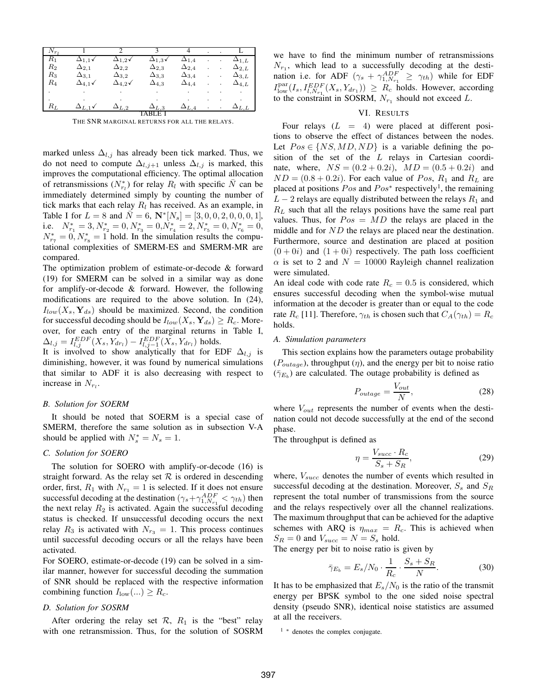| $N_{r_1}$ |                  |                  |                |                |  |                |
|-----------|------------------|------------------|----------------|----------------|--|----------------|
| $R_{1}$   | $\Delta_{1.1}$ v | $\Delta_{1,2}$ √ | $\Delta_{1,3}$ | $\Delta_{1.4}$ |  | $\Delta_{1,L}$ |
| $_{R_2}$  | $\Delta_{2,1}$   | $\Delta_{2,2}$   | $\Delta_{2,3}$ | $\Delta_{2,4}$ |  | $\Delta_{2,L}$ |
| $_{R_3}$  | $\Delta_{3,1}$   | $\Delta_{3,2}$   | $\Delta_{3,3}$ | $\Delta_{3,4}$ |  | $\Delta_{3,L}$ |
| $R_4$     | $\Delta_{4,1}$   | $\Delta_{4,2}$   | $\Delta_{4,3}$ | $\Delta_{4,4}$ |  | $\Delta_{4,L}$ |
|           |                  |                  |                |                |  |                |
|           |                  |                  |                |                |  |                |
| $R_L$     |                  | $\Delta_{L,2}$   | $\Delta_{L,3}$ | $\Delta_{L,4}$ |  | $\Delta_{L.L}$ |
|           |                  |                  | Е              |                |  |                |

THE SNR MARGINAL RETURNS FOR ALL THE RELAYS.

marked unless  $\Delta_{l,j}$  has already been tick marked. Thus, we do not need to compute  $\Delta_{l,j+1}$  unless  $\Delta_{l,j}$  is marked, this improves the computational efficiency. The optimal allocation of retransmissions  $(N_{r_l}^*)$  for relay  $R_l$  with specific  $\overline{N}$  can be immediately determined simply by counting the number of tick marks that each relay  $R_l$  has received. As an example, in Table I for  $L = 8$  and  $\overline{N} = 6$ ,  $N^*[N_s] = [3, 0, 0, 2, 0, 0, 0, 1]$ , i.e.  $N_{r_1}^* = 3, N_{r_2}^* = 0, N_{r_3}^* = 0, N_{r_4}^* = 2, N_{r_5}^* = 0, N_{r_6}^* = 0,$  $N_{r_7}^* = 0, N_{r_8}^* = 1$  hold. In the simulation results the computational complexities of SMERM-ES and SMERM-MR are compared.

The optimization problem of estimate-or-decode & forward (19) for SMERM can be solved in a similar way as done for amplify-or-decode & forward. However, the following modifications are required to the above solution. In (24),  $I_{low}(X_s, Y_{ds})$  should be maximized. Second, the condition for successful decoding should be  $I_{low}(X_s, \mathbf{Y}_{ds}) \geq R_c$ . Moreover, for each entry of the marginal returns in Table I,  $\Delta_{l,j} = I_{l,j}^{EDF}(X_s, Y_{dri}) - I_{l,j-1}^{EDF}(X_s, Y_{dri})$  holds.

It is involved to show analytically that for EDF  $\Delta_{l,j}$  is diminishing, however, it was found by numerical simulations that similar to ADF it is also decreasing with respect to increase in  $N_{r_l}$ .

#### *B. Solution for SOERM*

It should be noted that SOERM is a special case of SMERM, therefore the same solution as in subsection V-A should be applied with  $N_s^* = N_s = 1$ .

#### *C. Solution for SOERO*

The solution for SOERO with amplify-or-decode (16) is straight forward. As the relay set  $R$  is ordered in descending order, first,  $R_1$  with  $N_{r_1} = 1$  is selected. If it does not ensure successful decoding at the destination  $(\gamma_s + \gamma_{1,N_{r_1}}^{ADF} < \gamma_{th})$  then the next relay  $R_2$  is activated. Again the successful decoding status is checked. If unsuccessful decoding occurs the next relay  $R_3$  is activated with  $N_{r_3} = 1$ . This process continues until successful decoding occurs or all the relays have been activated.

For SOERO, estimate-or-decode (19) can be solved in a similar manner, however for successful decoding the summation of SNR should be replaced with the respective information combining function  $I_{\text{low}}(...) \geq R_c$ .

#### *D. Solution for SOSRM*

After ordering the relay set  $\mathcal{R}$ ,  $R_1$  is the "best" relay with one retransmission. Thus, for the solution of SOSRM we have to find the minimum number of retransmissions  $N_{r_1}$ , which lead to a successfully decoding at the destination i.e. for ADF  $(\gamma_s + \gamma_{1,N_{r_1}}^{ADF} \geq \gamma_{th})$  while for EDF  $I_{\text{low}}^{\text{par}}(I_s, I_{l,N_{r_1}}^{EDF}(X_s, Y_{dr_1})) \geq R_c$  holds. However, according to the constraint in SOSRM,  $N_{r_1}$  should not exceed L.

#### VI. RESULTS

Four relays  $(L = 4)$  were placed at different positions to observe the effect of distances between the nodes. Let  $Pos \in \{NS, MD, ND\}$  is a variable defining the position of the set of the  $L$  relays in Cartesian coordinate, where,  $NS = (0.2 + 0.2i)$ ,  $MD = (0.5 + 0.2i)$  and  $ND = (0.8 + 0.2i)$ . For each value of  $Pos$ ,  $R_1$  and  $R_L$  are placed at positions  $Pos$  and  $Pos^*$  respectively<sup>1</sup>, the remaining  $L - 2$  relays are equally distributed between the relays  $R_1$  and  $R_L$  such that all the relays positions have the same real part values. Thus, for  $Pos = MD$  the relays are placed in the middle and for ND the relays are placed near the destination. Furthermore, source and destination are placed at position  $(0+0i)$  and  $(1+0i)$  respectively. The path loss coefficient  $\alpha$  is set to 2 and  $N = 10000$  Rayleigh channel realization were simulated.

An ideal code with code rate  $R_c = 0.5$  is considered, which ensures successful decoding when the symbol-wise mutual information at the decoder is greater than or equal to the code rate  $R_c$  [11]. Therefore,  $\gamma_{th}$  is chosen such that  $C_A(\gamma_{th}) = R_c$ holds.

#### *A. Simulation parameters*

This section explains how the parameters outage probability  $(P_{outage})$ , throughput  $(\eta)$ , and the energy per bit to noise ratio  $(\bar{\gamma}_{E_b})$  are calculated. The outage probability is defined as

$$
P_{outage} = \frac{V_{out}}{N},\tag{28}
$$

where  $V_{out}$  represents the number of events when the destination could not decode successfully at the end of the second phase.

The throughput is defined as

$$
\eta = \frac{V_{succ} \cdot R_c}{S_s + S_R},\tag{29}
$$

where,  $V_{succ}$  denotes the number of events which resulted in successful decoding at the destination. Moreover,  $S_s$  and  $S_R$ represent the total number of transmissions from the source and the relays respectively over all the channel realizations. The maximum throughput that can be achieved for the adaptive schemes with ARQ is  $\eta_{max} = R_c$ . This is achieved when  $S_R = 0$  and  $V_{succ} = N = S_s$  hold.

The energy per bit to noise ratio is given by

$$
\bar{\gamma}_{E_b} = E_s/N_0 \cdot \frac{1}{R_c} \cdot \frac{S_s + S_R}{N}.\tag{30}
$$

It has to be emphasized that  $E_s/N_0$  is the ratio of the transmit energy per BPSK symbol to the one sided noise spectral density (pseudo SNR), identical noise statistics are assumed at all the receivers.

<sup>1</sup> <sup>∗</sup> denotes the complex conjugate.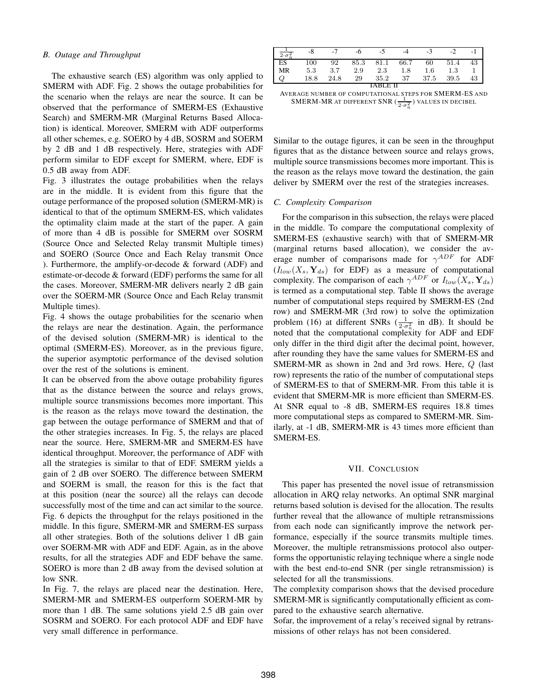#### *B. Outage and Throughput*

The exhaustive search (ES) algorithm was only applied to SMERM with ADF. Fig. 2 shows the outage probabilities for the scenario when the relays are near the source. It can be observed that the performance of SMERM-ES (Exhaustive Search) and SMERM-MR (Marginal Returns Based Allocation) is identical. Moreover, SMERM with ADF outperforms all other schemes, e.g. SOERO by 4 dB, SOSRM and SOERM by 2 dB and 1 dB respectively. Here, strategies with ADF perform similar to EDF except for SMERM, where, EDF is 0.5 dB away from ADF.

Fig. 3 illustrates the outage probabilities when the relays are in the middle. It is evident from this figure that the outage performance of the proposed solution (SMERM-MR) is identical to that of the optimum SMERM-ES, which validates the optimality claim made at the start of the paper. A gain of more than 4 dB is possible for SMERM over SOSRM (Source Once and Selected Relay transmit Multiple times) and SOERO (Source Once and Each Relay transmit Once ). Furthermore, the amplify-or-decode  $&$  forward (ADF) and estimate-or-decode & forward (EDF) performs the same for all the cases. Moreover, SMERM-MR delivers nearly 2 dB gain over the SOERM-MR (Source Once and Each Relay transmit Multiple times).

Fig. 4 shows the outage probabilities for the scenario when the relays are near the destination. Again, the performance of the devised solution (SMERM-MR) is identical to the optimal (SMERM-ES). Moreover, as in the previous figure, the superior asymptotic performance of the devised solution over the rest of the solutions is eminent.

It can be observed from the above outage probability figures that as the distance between the source and relays grows, multiple source transmissions becomes more important. This is the reason as the relays move toward the destination, the gap between the outage performance of SMERM and that of the other strategies increases. In Fig. 5, the relays are placed near the source. Here, SMERM-MR and SMERM-ES have identical throughput. Moreover, the performance of ADF with all the strategies is similar to that of EDF. SMERM yields a gain of 2 dB over SOERO. The difference between SMERM and SOERM is small, the reason for this is the fact that at this position (near the source) all the relays can decode successfully most of the time and can act similar to the source. Fig. 6 depicts the throughput for the relays positioned in the middle. In this figure, SMERM-MR and SMERM-ES surpass all other strategies. Both of the solutions deliver 1 dB gain over SOERM-MR with ADF and EDF. Again, as in the above results, for all the strategies ADF and EDF behave the same. SOERO is more than 2 dB away from the devised solution at low SNR.

In Fig. 7, the relays are placed near the destination. Here, SMERM-MR and SMERM-ES outperform SOERM-MR by more than 1 dB. The same solutions yield 2.5 dB gain over SOSRM and SOERO. For each protocol ADF and EDF have very small difference in performance.

| $2\cdot\sigma_i^2$ | -8   | -7   | -6   | -5   |      | $-3$    |         |    |  |  |  |
|--------------------|------|------|------|------|------|---------|---------|----|--|--|--|
| <b>ES</b>          | 100  | 92   | 85.3 | 81.1 | 66.7 | 60      | 51.4    | 43 |  |  |  |
| MR                 | 5.3  | 3.7  | 2.9  | 2.3  | 1.8  | $1.6\,$ | $1.3\,$ |    |  |  |  |
|                    | 18.8 | 24.8 | 29   | 35.2 | 37   | 37.5    | 39.5    | 43 |  |  |  |
| TABLE II           |      |      |      |      |      |         |         |    |  |  |  |

AVERAGE NUMBER OF COMPUTATIONAL STEPS FOR SMERM-ES AND SMERM-MR AT DIFFERENT SNR ( $\frac{1}{2}$ ,  $\frac{2}{6}$ ) values in decibel

Similar to the outage figures, it can be seen in the throughput figures that as the distance between source and relays grows, multiple source transmissions becomes more important. This is the reason as the relays move toward the destination, the gain deliver by SMERM over the rest of the strategies increases.

#### *C. Complexity Comparison*

For the comparison in this subsection, the relays were placed in the middle. To compare the computational complexity of SMERM-ES (exhaustive search) with that of SMERM-MR (marginal returns based allocation), we consider the average number of comparisons made for  $\gamma^{ADE}$  for ADF  $(I_{low}(X_s, Y_{ds})$  for EDF) as a measure of computational complexity. The comparison of each  $\gamma^{ADF}$  or  $I_{low}(X_s, \mathbf{Y}_{ds})$ is termed as a computational step. Table II shows the average number of computational steps required by SMERM-ES (2nd row) and SMERM-MR (3rd row) to solve the optimization problem (16) at different SNRs  $(\frac{1}{2 \cdot \sigma_n^2})$  in dB). It should be noted that the computational complexity for ADF and EDF only differ in the third digit after the decimal point, however, after rounding they have the same values for SMERM-ES and SMERM-MR as shown in 2nd and 3rd rows. Here, Q (last row) represents the ratio of the number of computational steps of SMERM-ES to that of SMERM-MR. From this table it is evident that SMERM-MR is more efficient than SMERM-ES. At SNR equal to -8 dB, SMERM-ES requires 18.8 times more computational steps as compared to SMERM-MR. Similarly, at -1 dB, SMERM-MR is 43 times more efficient than SMERM-ES.

#### VII. CONCLUSION

This paper has presented the novel issue of retransmission allocation in ARQ relay networks. An optimal SNR marginal returns based solution is devised for the allocation. The results further reveal that the allowance of multiple retransmissions from each node can significantly improve the network performance, especially if the source transmits multiple times. Moreover, the multiple retransmissions protocol also outperforms the opportunistic relaying technique where a single node with the best end-to-end SNR (per single retransmission) is selected for all the transmissions.

The complexity comparison shows that the devised procedure SMERM-MR is significantly computationally efficient as compared to the exhaustive search alternative.

Sofar, the improvement of a relay's received signal by retransmissions of other relays has not been considered.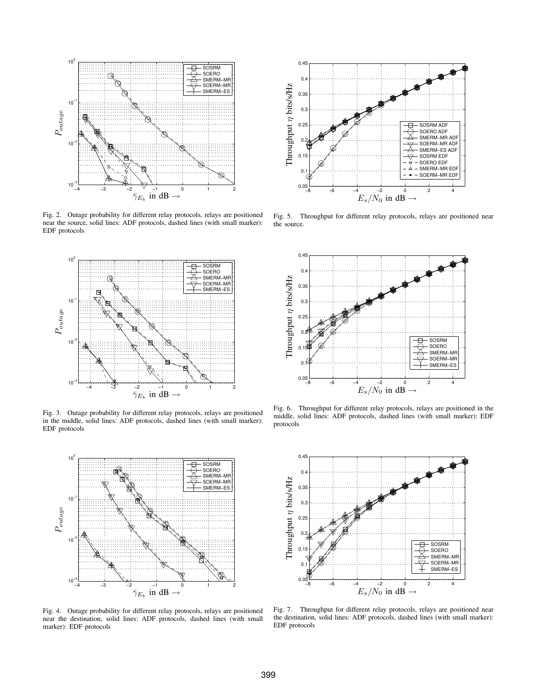

Fig. 2. Outage probability for different relay protocols, relays are positioned near the source, solid lines: ADF protocols, dashed lines (with small marker): EDF protocols



Fig. 3. Outage probability for different relay protocols, relays are positioned in the middle, solid lines: ADF protocols, dashed lines (with small marker): EDF protocols



Fig. 4. Outage probability for different relay protocols, relays are positioned near the destination, solid lines: ADF protocols, dashed lines (with small marker): EDF protocols



Fig. 5. Throughput for different relay protocols, relays are positioned near the source.



Fig. 6. Throughput for different relay protocols, relays are positioned in the middle, solid lines: ADF protocols, dashed lines (with small marker): EDF protocols



Fig. 7. Throughput for different relay protocols, relays are positioned near the destination, solid lines: ADF protocols, dashed lines (with small marker): EDF protocols